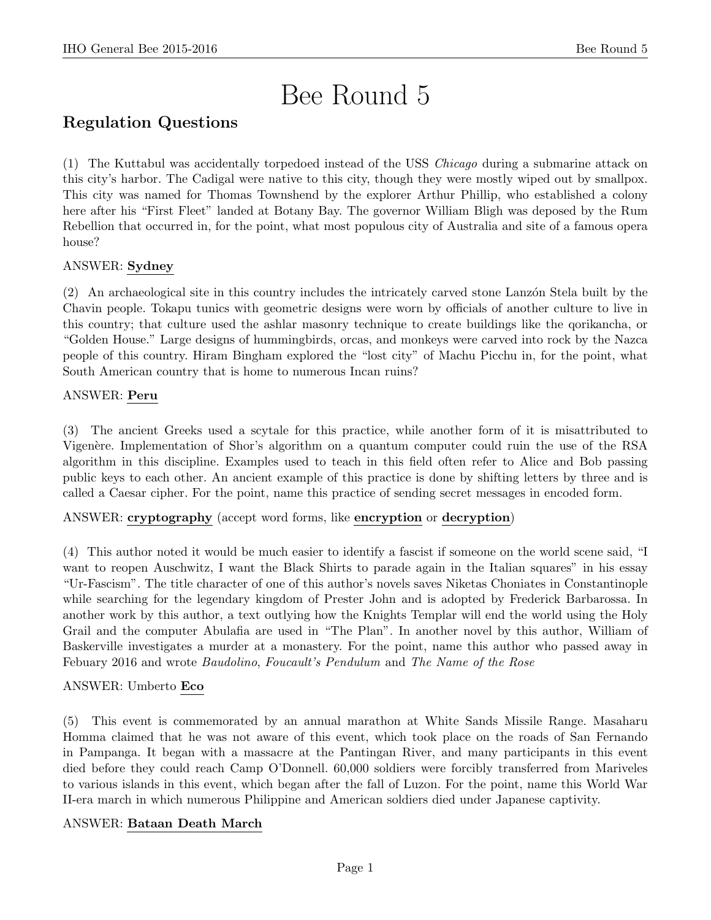# Bee Round 5

# Regulation Questions

(1) The Kuttabul was accidentally torpedoed instead of the USS Chicago during a submarine attack on this city's harbor. The Cadigal were native to this city, though they were mostly wiped out by smallpox. This city was named for Thomas Townshend by the explorer Arthur Phillip, who established a colony here after his "First Fleet" landed at Botany Bay. The governor William Bligh was deposed by the Rum Rebellion that occurred in, for the point, what most populous city of Australia and site of a famous opera house?

# ANSWER: Sydney

(2) An archaeological site in this country includes the intricately carved stone Lanzón Stela built by the Chavin people. Tokapu tunics with geometric designs were worn by officials of another culture to live in this country; that culture used the ashlar masonry technique to create buildings like the qorikancha, or "Golden House." Large designs of hummingbirds, orcas, and monkeys were carved into rock by the Nazca people of this country. Hiram Bingham explored the "lost city" of Machu Picchu in, for the point, what South American country that is home to numerous Incan ruins?

# ANSWER: Peru

(3) The ancient Greeks used a scytale for this practice, while another form of it is misattributed to Vigenère. Implementation of Shor's algorithm on a quantum computer could ruin the use of the RSA algorithm in this discipline. Examples used to teach in this field often refer to Alice and Bob passing public keys to each other. An ancient example of this practice is done by shifting letters by three and is called a Caesar cipher. For the point, name this practice of sending secret messages in encoded form.

ANSWER: cryptography (accept word forms, like encryption or decryption)

(4) This author noted it would be much easier to identify a fascist if someone on the world scene said, "I want to reopen Auschwitz, I want the Black Shirts to parade again in the Italian squares" in his essay "Ur-Fascism". The title character of one of this author's novels saves Niketas Choniates in Constantinople while searching for the legendary kingdom of Prester John and is adopted by Frederick Barbarossa. In another work by this author, a text outlying how the Knights Templar will end the world using the Holy Grail and the computer Abulafia are used in "The Plan". In another novel by this author, William of Baskerville investigates a murder at a monastery. For the point, name this author who passed away in Febuary 2016 and wrote Baudolino, Foucault's Pendulum and The Name of the Rose

# ANSWER: Umberto Eco

(5) This event is commemorated by an annual marathon at White Sands Missile Range. Masaharu Homma claimed that he was not aware of this event, which took place on the roads of San Fernando in Pampanga. It began with a massacre at the Pantingan River, and many participants in this event died before they could reach Camp O'Donnell. 60,000 soldiers were forcibly transferred from Mariveles to various islands in this event, which began after the fall of Luzon. For the point, name this World War II-era march in which numerous Philippine and American soldiers died under Japanese captivity.

# ANSWER: Bataan Death March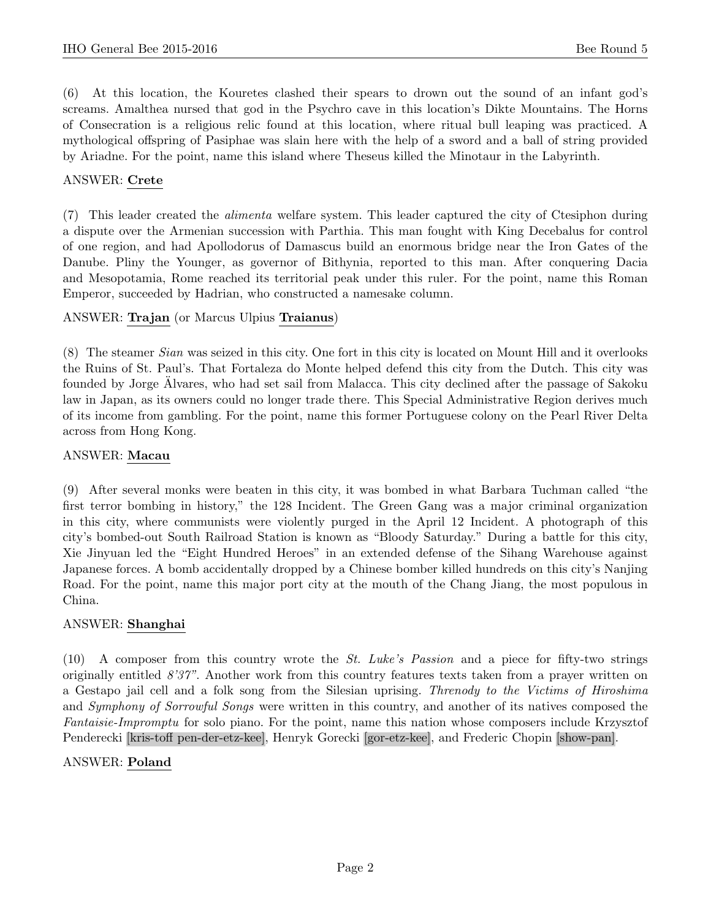(6) At this location, the Kouretes clashed their spears to drown out the sound of an infant god's screams. Amalthea nursed that god in the Psychro cave in this location's Dikte Mountains. The Horns of Consecration is a religious relic found at this location, where ritual bull leaping was practiced. A mythological offspring of Pasiphae was slain here with the help of a sword and a ball of string provided by Ariadne. For the point, name this island where Theseus killed the Minotaur in the Labyrinth.

#### ANSWER: Crete

(7) This leader created the alimenta welfare system. This leader captured the city of Ctesiphon during a dispute over the Armenian succession with Parthia. This man fought with King Decebalus for control of one region, and had Apollodorus of Damascus build an enormous bridge near the Iron Gates of the Danube. Pliny the Younger, as governor of Bithynia, reported to this man. After conquering Dacia and Mesopotamia, Rome reached its territorial peak under this ruler. For the point, name this Roman Emperor, succeeded by Hadrian, who constructed a namesake column.

#### ANSWER: Trajan (or Marcus Ulpius Traianus)

(8) The steamer Sian was seized in this city. One fort in this city is located on Mount Hill and it overlooks the Ruins of St. Paul's. That Fortaleza do Monte helped defend this city from the Dutch. This city was founded by Jorge Alvares, who had set sail from Malacca. This city declined after the passage of Sakoku law in Japan, as its owners could no longer trade there. This Special Administrative Region derives much of its income from gambling. For the point, name this former Portuguese colony on the Pearl River Delta across from Hong Kong.

#### ANSWER: Macau

(9) After several monks were beaten in this city, it was bombed in what Barbara Tuchman called "the first terror bombing in history," the 128 Incident. The Green Gang was a major criminal organization in this city, where communists were violently purged in the April 12 Incident. A photograph of this city's bombed-out South Railroad Station is known as "Bloody Saturday." During a battle for this city, Xie Jinyuan led the "Eight Hundred Heroes" in an extended defense of the Sihang Warehouse against Japanese forces. A bomb accidentally dropped by a Chinese bomber killed hundreds on this city's Nanjing Road. For the point, name this major port city at the mouth of the Chang Jiang, the most populous in China.

#### ANSWER: Shanghai

 $(10)$  A composer from this country wrote the *St. Luke's Passion* and a piece for fifty-two strings originally entitled 8'37". Another work from this country features texts taken from a prayer written on a Gestapo jail cell and a folk song from the Silesian uprising. Threnody to the Victims of Hiroshima and Symphony of Sorrowful Songs were written in this country, and another of its natives composed the Fantaisie-Impromptu for solo piano. For the point, name this nation whose composers include Krzysztof Penderecki [kris-toff pen-der-etz-kee], Henryk Gorecki [gor-etz-kee], and Frederic Chopin [show-pan].

#### ANSWER: Poland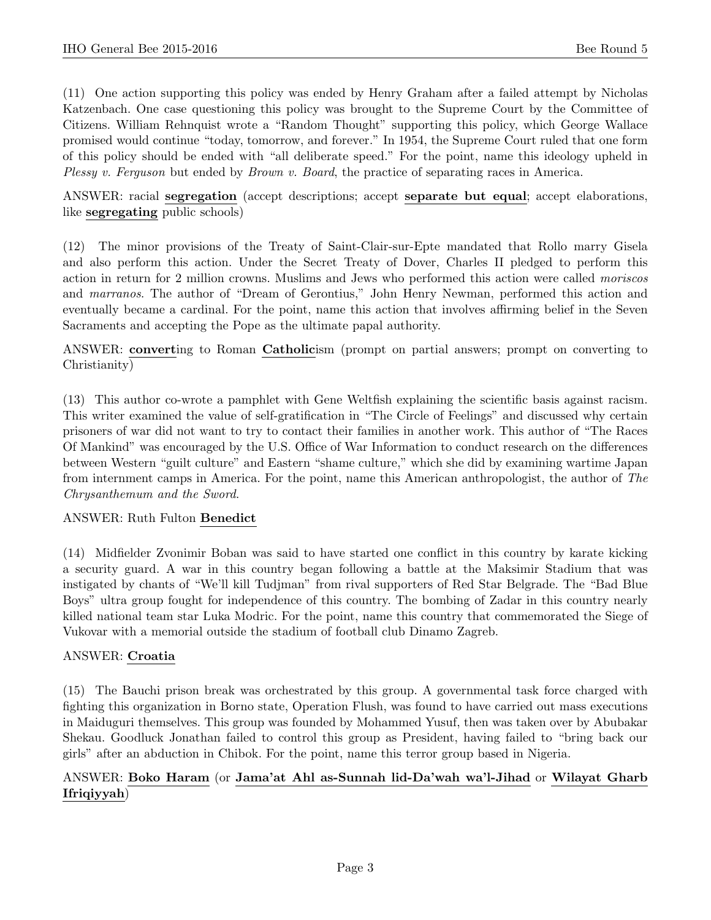(11) One action supporting this policy was ended by Henry Graham after a failed attempt by Nicholas Katzenbach. One case questioning this policy was brought to the Supreme Court by the Committee of Citizens. William Rehnquist wrote a "Random Thought" supporting this policy, which George Wallace promised would continue "today, tomorrow, and forever." In 1954, the Supreme Court ruled that one form of this policy should be ended with "all deliberate speed." For the point, name this ideology upheld in Plessy v. Ferguson but ended by Brown v. Board, the practice of separating races in America.

ANSWER: racial segregation (accept descriptions; accept separate but equal; accept elaborations, like segregating public schools)

(12) The minor provisions of the Treaty of Saint-Clair-sur-Epte mandated that Rollo marry Gisela and also perform this action. Under the Secret Treaty of Dover, Charles II pledged to perform this action in return for 2 million crowns. Muslims and Jews who performed this action were called moriscos and marranos. The author of "Dream of Gerontius," John Henry Newman, performed this action and eventually became a cardinal. For the point, name this action that involves affirming belief in the Seven Sacraments and accepting the Pope as the ultimate papal authority.

ANSWER: converting to Roman Catholicism (prompt on partial answers; prompt on converting to Christianity)

(13) This author co-wrote a pamphlet with Gene Weltfish explaining the scientific basis against racism. This writer examined the value of self-gratification in "The Circle of Feelings" and discussed why certain prisoners of war did not want to try to contact their families in another work. This author of "The Races Of Mankind" was encouraged by the U.S. Office of War Information to conduct research on the differences between Western "guilt culture" and Eastern "shame culture," which she did by examining wartime Japan from internment camps in America. For the point, name this American anthropologist, the author of The Chrysanthemum and the Sword.

#### ANSWER: Ruth Fulton Benedict

(14) Midfielder Zvonimir Boban was said to have started one conflict in this country by karate kicking a security guard. A war in this country began following a battle at the Maksimir Stadium that was instigated by chants of "We'll kill Tudjman" from rival supporters of Red Star Belgrade. The "Bad Blue Boys" ultra group fought for independence of this country. The bombing of Zadar in this country nearly killed national team star Luka Modric. For the point, name this country that commemorated the Siege of Vukovar with a memorial outside the stadium of football club Dinamo Zagreb.

# ANSWER: Croatia

(15) The Bauchi prison break was orchestrated by this group. A governmental task force charged with fighting this organization in Borno state, Operation Flush, was found to have carried out mass executions in Maiduguri themselves. This group was founded by Mohammed Yusuf, then was taken over by Abubakar Shekau. Goodluck Jonathan failed to control this group as President, having failed to "bring back our girls" after an abduction in Chibok. For the point, name this terror group based in Nigeria.

# ANSWER: Boko Haram (or Jama'at Ahl as-Sunnah lid-Da'wah wa'l-Jihad or Wilayat Gharb Ifriqiyyah)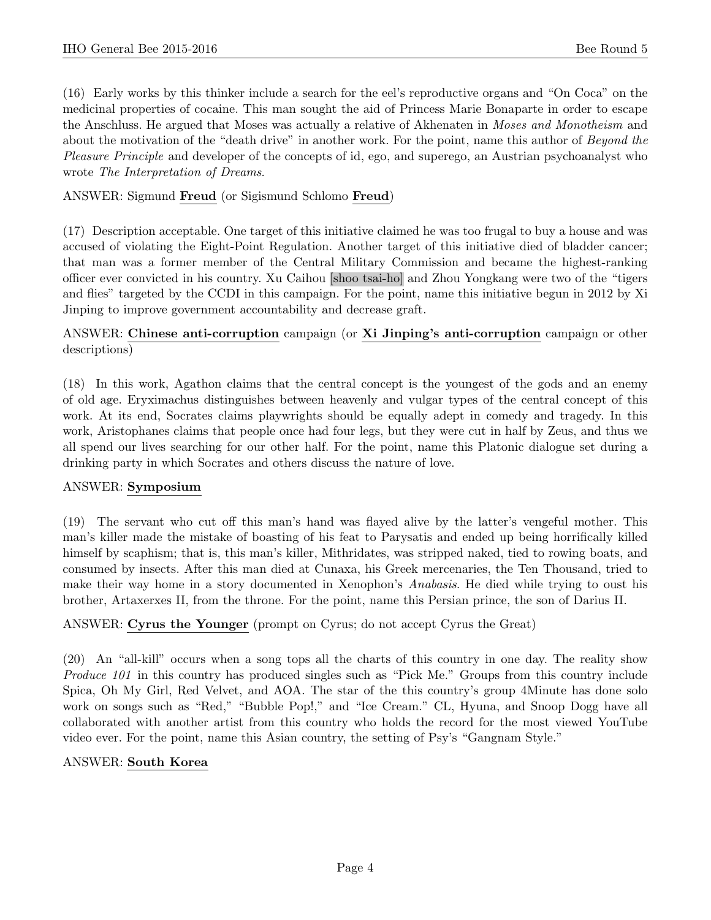(16) Early works by this thinker include a search for the eel's reproductive organs and "On Coca" on the medicinal properties of cocaine. This man sought the aid of Princess Marie Bonaparte in order to escape the Anschluss. He argued that Moses was actually a relative of Akhenaten in Moses and Monotheism and about the motivation of the "death drive" in another work. For the point, name this author of Beyond the Pleasure Principle and developer of the concepts of id, ego, and superego, an Austrian psychoanalyst who wrote The Interpretation of Dreams.

# ANSWER: Sigmund Freud (or Sigismund Schlomo Freud)

(17) Description acceptable. One target of this initiative claimed he was too frugal to buy a house and was accused of violating the Eight-Point Regulation. Another target of this initiative died of bladder cancer; that man was a former member of the Central Military Commission and became the highest-ranking officer ever convicted in his country. Xu Caihou [shoo tsai-ho] and Zhou Yongkang were two of the "tigers and flies" targeted by the CCDI in this campaign. For the point, name this initiative begun in 2012 by Xi Jinping to improve government accountability and decrease graft.

# ANSWER: Chinese anti-corruption campaign (or Xi Jinping's anti-corruption campaign or other descriptions)

(18) In this work, Agathon claims that the central concept is the youngest of the gods and an enemy of old age. Eryximachus distinguishes between heavenly and vulgar types of the central concept of this work. At its end, Socrates claims playwrights should be equally adept in comedy and tragedy. In this work, Aristophanes claims that people once had four legs, but they were cut in half by Zeus, and thus we all spend our lives searching for our other half. For the point, name this Platonic dialogue set during a drinking party in which Socrates and others discuss the nature of love.

# ANSWER: Symposium

(19) The servant who cut off this man's hand was flayed alive by the latter's vengeful mother. This man's killer made the mistake of boasting of his feat to Parysatis and ended up being horrifically killed himself by scaphism; that is, this man's killer, Mithridates, was stripped naked, tied to rowing boats, and consumed by insects. After this man died at Cunaxa, his Greek mercenaries, the Ten Thousand, tried to make their way home in a story documented in Xenophon's Anabasis. He died while trying to oust his brother, Artaxerxes II, from the throne. For the point, name this Persian prince, the son of Darius II.

# ANSWER: Cyrus the Younger (prompt on Cyrus; do not accept Cyrus the Great)

(20) An "all-kill" occurs when a song tops all the charts of this country in one day. The reality show Produce 101 in this country has produced singles such as "Pick Me." Groups from this country include Spica, Oh My Girl, Red Velvet, and AOA. The star of the this country's group 4Minute has done solo work on songs such as "Red," "Bubble Pop!," and "Ice Cream." CL, Hyuna, and Snoop Dogg have all collaborated with another artist from this country who holds the record for the most viewed YouTube video ever. For the point, name this Asian country, the setting of Psy's "Gangnam Style."

#### ANSWER: South Korea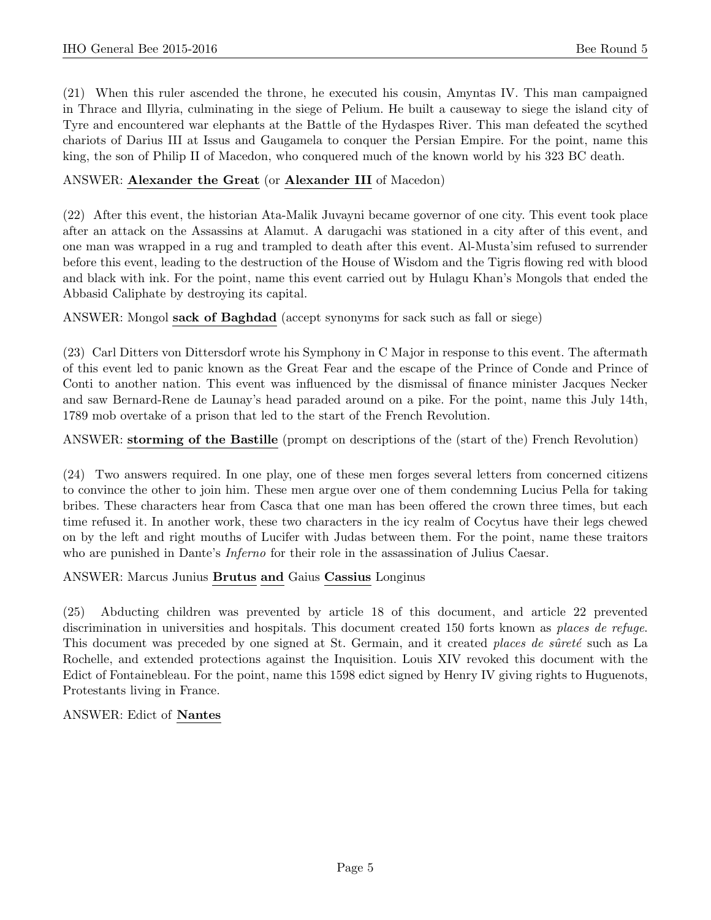(21) When this ruler ascended the throne, he executed his cousin, Amyntas IV. This man campaigned in Thrace and Illyria, culminating in the siege of Pelium. He built a causeway to siege the island city of Tyre and encountered war elephants at the Battle of the Hydaspes River. This man defeated the scythed chariots of Darius III at Issus and Gaugamela to conquer the Persian Empire. For the point, name this king, the son of Philip II of Macedon, who conquered much of the known world by his 323 BC death.

# ANSWER: Alexander the Great (or Alexander III of Macedon)

(22) After this event, the historian Ata-Malik Juvayni became governor of one city. This event took place after an attack on the Assassins at Alamut. A darugachi was stationed in a city after of this event, and one man was wrapped in a rug and trampled to death after this event. Al-Musta'sim refused to surrender before this event, leading to the destruction of the House of Wisdom and the Tigris flowing red with blood and black with ink. For the point, name this event carried out by Hulagu Khan's Mongols that ended the Abbasid Caliphate by destroying its capital.

ANSWER: Mongol sack of Baghdad (accept synonyms for sack such as fall or siege)

(23) Carl Ditters von Dittersdorf wrote his Symphony in C Major in response to this event. The aftermath of this event led to panic known as the Great Fear and the escape of the Prince of Conde and Prince of Conti to another nation. This event was influenced by the dismissal of finance minister Jacques Necker and saw Bernard-Rene de Launay's head paraded around on a pike. For the point, name this July 14th, 1789 mob overtake of a prison that led to the start of the French Revolution.

# ANSWER: storming of the Bastille (prompt on descriptions of the (start of the) French Revolution)

(24) Two answers required. In one play, one of these men forges several letters from concerned citizens to convince the other to join him. These men argue over one of them condemning Lucius Pella for taking bribes. These characters hear from Casca that one man has been offered the crown three times, but each time refused it. In another work, these two characters in the icy realm of Cocytus have their legs chewed on by the left and right mouths of Lucifer with Judas between them. For the point, name these traitors who are punished in Dante's *Inferno* for their role in the assassination of Julius Caesar.

# ANSWER: Marcus Junius Brutus and Gaius Cassius Longinus

(25) Abducting children was prevented by article 18 of this document, and article 22 prevented discrimination in universities and hospitals. This document created 150 forts known as *places de refuge*. This document was preceded by one signed at St. Germain, and it created places de sûreté such as La Rochelle, and extended protections against the Inquisition. Louis XIV revoked this document with the Edict of Fontainebleau. For the point, name this 1598 edict signed by Henry IV giving rights to Huguenots, Protestants living in France.

ANSWER: Edict of Nantes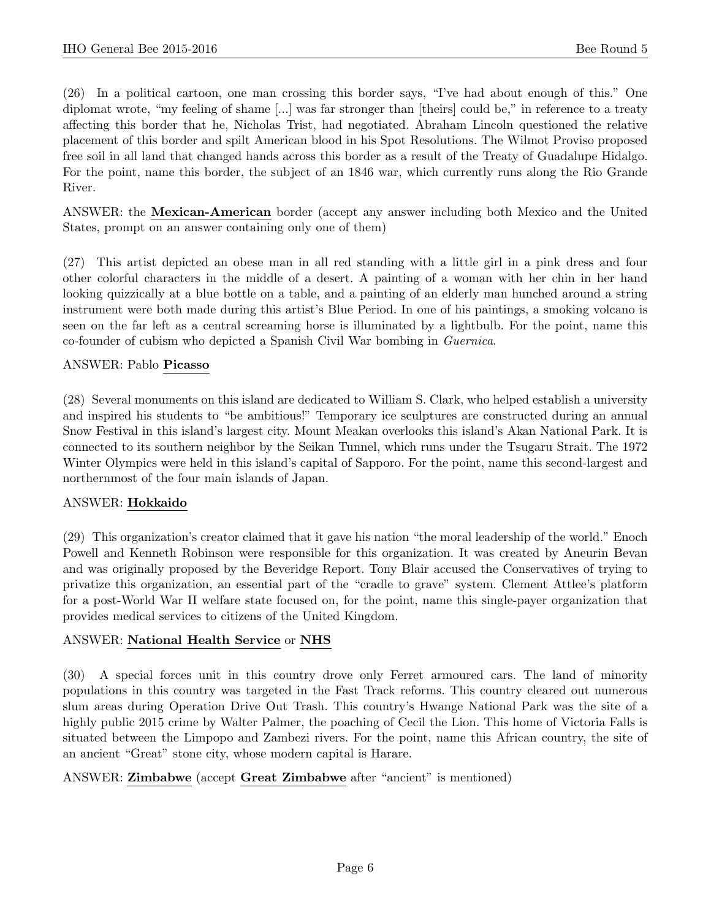(26) In a political cartoon, one man crossing this border says, "I've had about enough of this." One diplomat wrote, "my feeling of shame [...] was far stronger than [theirs] could be," in reference to a treaty affecting this border that he, Nicholas Trist, had negotiated. Abraham Lincoln questioned the relative placement of this border and spilt American blood in his Spot Resolutions. The Wilmot Proviso proposed free soil in all land that changed hands across this border as a result of the Treaty of Guadalupe Hidalgo. For the point, name this border, the subject of an 1846 war, which currently runs along the Rio Grande River.

ANSWER: the Mexican-American border (accept any answer including both Mexico and the United States, prompt on an answer containing only one of them)

(27) This artist depicted an obese man in all red standing with a little girl in a pink dress and four other colorful characters in the middle of a desert. A painting of a woman with her chin in her hand looking quizzically at a blue bottle on a table, and a painting of an elderly man hunched around a string instrument were both made during this artist's Blue Period. In one of his paintings, a smoking volcano is seen on the far left as a central screaming horse is illuminated by a lightbulb. For the point, name this co-founder of cubism who depicted a Spanish Civil War bombing in Guernica.

#### ANSWER: Pablo Picasso

(28) Several monuments on this island are dedicated to William S. Clark, who helped establish a university and inspired his students to "be ambitious!" Temporary ice sculptures are constructed during an annual Snow Festival in this island's largest city. Mount Meakan overlooks this island's Akan National Park. It is connected to its southern neighbor by the Seikan Tunnel, which runs under the Tsugaru Strait. The 1972 Winter Olympics were held in this island's capital of Sapporo. For the point, name this second-largest and northernmost of the four main islands of Japan.

#### ANSWER: Hokkaido

(29) This organization's creator claimed that it gave his nation "the moral leadership of the world." Enoch Powell and Kenneth Robinson were responsible for this organization. It was created by Aneurin Bevan and was originally proposed by the Beveridge Report. Tony Blair accused the Conservatives of trying to privatize this organization, an essential part of the "cradle to grave" system. Clement Attlee's platform for a post-World War II welfare state focused on, for the point, name this single-payer organization that provides medical services to citizens of the United Kingdom.

#### ANSWER: National Health Service or NHS

(30) A special forces unit in this country drove only Ferret armoured cars. The land of minority populations in this country was targeted in the Fast Track reforms. This country cleared out numerous slum areas during Operation Drive Out Trash. This country's Hwange National Park was the site of a highly public 2015 crime by Walter Palmer, the poaching of Cecil the Lion. This home of Victoria Falls is situated between the Limpopo and Zambezi rivers. For the point, name this African country, the site of an ancient "Great" stone city, whose modern capital is Harare.

#### ANSWER: Zimbabwe (accept Great Zimbabwe after "ancient" is mentioned)